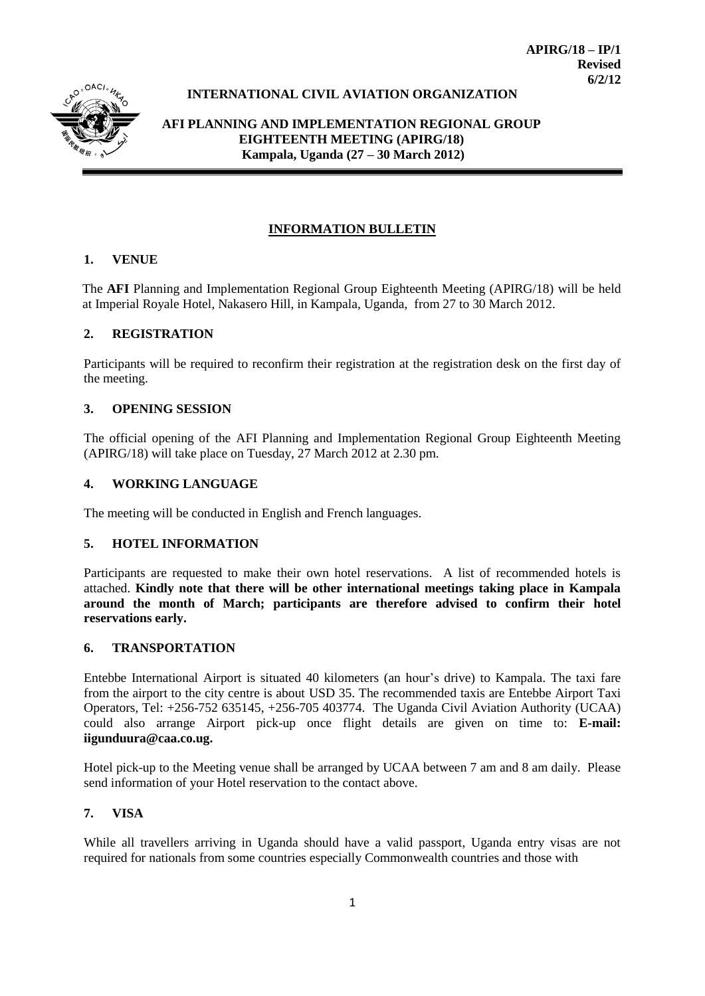

# **INTERNATIONAL CIVIL AVIATION ORGANIZATION**

**AFI PLANNING AND IMPLEMENTATION REGIONAL GROUP EIGHTEENTH MEETING (APIRG/18) Kampala, Uganda (27 – 30 March 2012)**

#### **INFORMATION BULLETIN**

### **1. VENUE**

The **AFI** Planning and Implementation Regional Group Eighteenth Meeting (APIRG/18) will be held at Imperial Royale Hotel, Nakasero Hill, in Kampala, Uganda, from 27 to 30 March 2012.

#### **2. REGISTRATION**

Participants will be required to reconfirm their registration at the registration desk on the first day of the meeting.

#### **3. OPENING SESSION**

The official opening of the AFI Planning and Implementation Regional Group Eighteenth Meeting (APIRG/18) will take place on Tuesday, 27 March 2012 at 2.30 pm.

#### **4. WORKING LANGUAGE**

The meeting will be conducted in English and French languages.

#### **5. HOTEL INFORMATION**

Participants are requested to make their own hotel reservations. A list of recommended hotels is attached. **Kindly note that there will be other international meetings taking place in Kampala around the month of March; participants are therefore advised to confirm their hotel reservations early.**

#### **6. TRANSPORTATION**

Entebbe International Airport is situated 40 kilometers (an hour's drive) to Kampala. The taxi fare from the airport to the city centre is about USD 35. The recommended taxis are Entebbe Airport Taxi Operators, Tel: +256-752 635145, +256-705 403774. The Uganda Civil Aviation Authority (UCAA) could also arrange Airport pick-up once flight details are given on time to: **E-mail: iigunduura@caa.co.ug.** 

Hotel pick-up to the Meeting venue shall be arranged by UCAA between 7 am and 8 am daily. Please send information of your Hotel reservation to the contact above.

#### **7. VISA**

While all travellers arriving in Uganda should have a valid passport, Uganda entry visas are not required for nationals from some countries especially Commonwealth countries and those with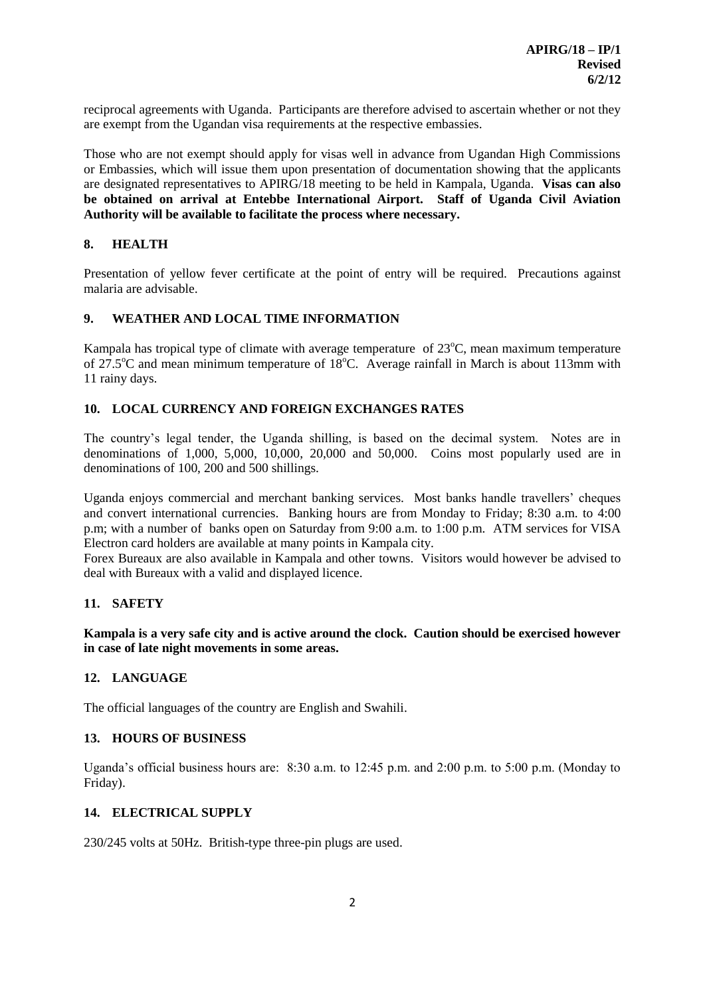reciprocal agreements with Uganda. Participants are therefore advised to ascertain whether or not they are exempt from the Ugandan visa requirements at the respective embassies.

Those who are not exempt should apply for visas well in advance from Ugandan High Commissions or Embassies, which will issue them upon presentation of documentation showing that the applicants are designated representatives to APIRG/18 meeting to be held in Kampala, Uganda. **Visas can also be obtained on arrival at Entebbe International Airport. Staff of Uganda Civil Aviation Authority will be available to facilitate the process where necessary.**

# **8. HEALTH**

Presentation of yellow fever certificate at the point of entry will be required. Precautions against malaria are advisable.

# **9. WEATHER AND LOCAL TIME INFORMATION**

Kampala has tropical type of climate with average temperature of  $23^{\circ}$ C, mean maximum temperature of  $27.5^{\circ}$ C and mean minimum temperature of  $18^{\circ}$ C. Average rainfall in March is about 113mm with 11 rainy days.

# **10. LOCAL CURRENCY AND FOREIGN EXCHANGES RATES**

The country's legal tender, the Uganda shilling, is based on the decimal system. Notes are in denominations of 1,000, 5,000, 10,000, 20,000 and 50,000. Coins most popularly used are in denominations of 100, 200 and 500 shillings.

Uganda enjoys commercial and merchant banking services. Most banks handle travellers' cheques and convert international currencies. Banking hours are from Monday to Friday; 8:30 a.m. to 4:00 p.m; with a number of banks open on Saturday from 9:00 a.m. to 1:00 p.m. ATM services for VISA Electron card holders are available at many points in Kampala city.

Forex Bureaux are also available in Kampala and other towns. Visitors would however be advised to deal with Bureaux with a valid and displayed licence.

# **11. SAFETY**

**Kampala is a very safe city and is active around the clock. Caution should be exercised however in case of late night movements in some areas.**

### **12. LANGUAGE**

The official languages of the country are English and Swahili.

### **13. HOURS OF BUSINESS**

Uganda's official business hours are: 8:30 a.m. to 12:45 p.m. and 2:00 p.m. to 5:00 p.m. (Monday to Friday).

### **14. ELECTRICAL SUPPLY**

230/245 volts at 50Hz. British-type three-pin plugs are used.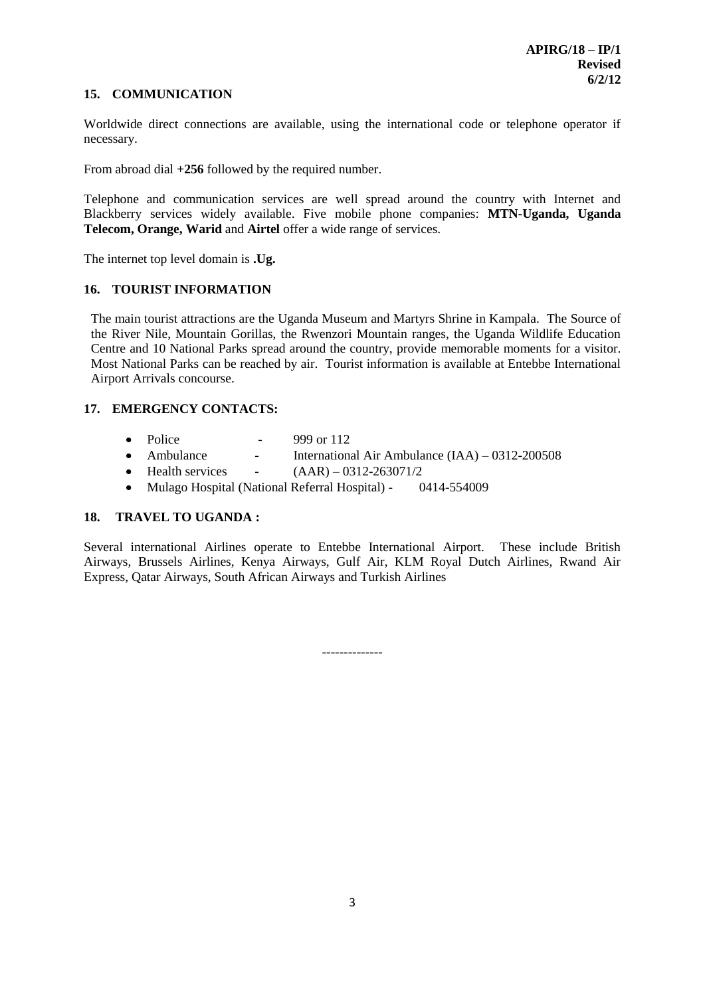### **15. COMMUNICATION**

Worldwide direct connections are available, using the international code or telephone operator if necessary.

From abroad dial **+256** followed by the required number.

Telephone and communication services are well spread around the country with Internet and Blackberry services widely available. Five mobile phone companies: **MTN-Uganda, Uganda Telecom, Orange, Warid** and **Airtel** offer a wide range of services.

The internet top level domain is **.Ug.**

# **16. TOURIST INFORMATION**

The main tourist attractions are the Uganda Museum and Martyrs Shrine in Kampala. The Source of the River Nile, Mountain Gorillas, the Rwenzori Mountain ranges, the Uganda Wildlife Education Centre and 10 National Parks spread around the country, provide memorable moments for a visitor. Most National Parks can be reached by air. Tourist information is available at Entebbe International Airport Arrivals concourse.

# **17. EMERGENCY CONTACTS:**

- $\bullet$  Police  $\bullet$  999 or 112
- Ambulance  $\blacksquare$  International Air Ambulance (IAA) 0312-200508
- $\bullet$  Health services  $(AAR) 0312 263071/2$
- Mulago Hospital (National Referral Hospital) 0414-554009

# **18. TRAVEL TO UGANDA :**

Several international Airlines operate to Entebbe International Airport. These include British Airways, Brussels Airlines, Kenya Airways, Gulf Air, KLM Royal Dutch Airlines, Rwand Air Express, Qatar Airways, South African Airways and Turkish Airlines

*--------------*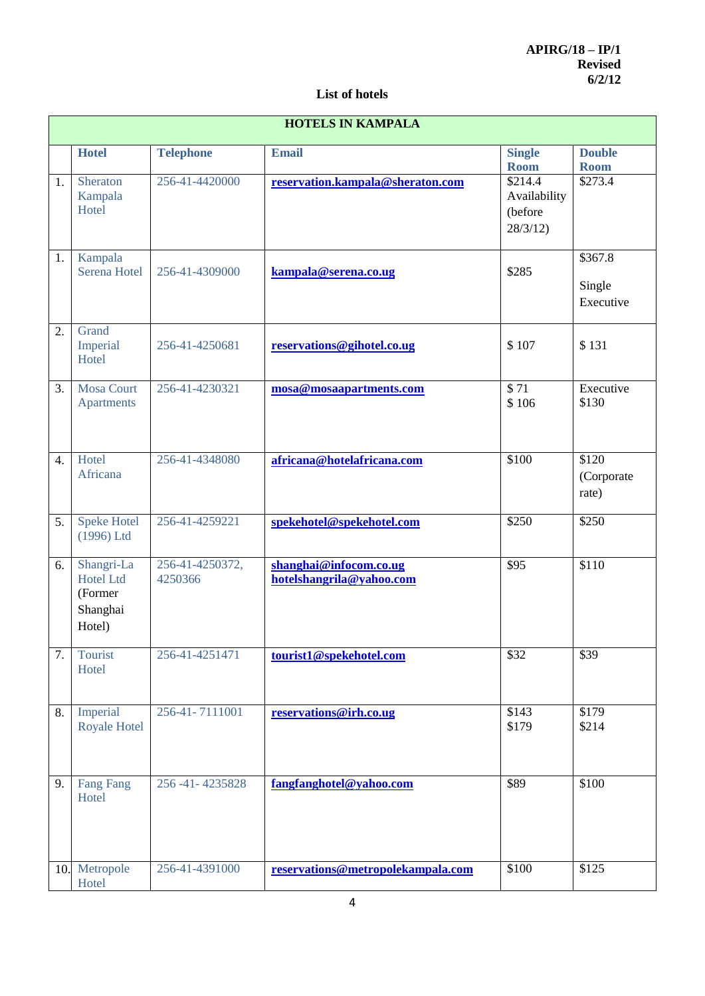# **List of hotels**

| <b>HOTELS IN KAMPALA</b> |                                                                 |                            |                                                    |                                               |                                            |  |  |  |
|--------------------------|-----------------------------------------------------------------|----------------------------|----------------------------------------------------|-----------------------------------------------|--------------------------------------------|--|--|--|
|                          | <b>Hotel</b>                                                    | <b>Telephone</b>           | <b>Email</b>                                       | <b>Single</b><br><b>Room</b>                  | <b>Double</b><br><b>Room</b>               |  |  |  |
| 1.                       | Sheraton<br>Kampala<br>Hotel                                    | 256-41-4420000             | reservation.kampala@sheraton.com                   | \$214.4<br>Availability<br>(before<br>28/3/12 | \$273.4                                    |  |  |  |
| 1.                       | Kampala<br>Serena Hotel                                         | 256-41-4309000             | kampala@serena.co.ug                               | \$285                                         | $$367.\overline{8}$<br>Single<br>Executive |  |  |  |
| 2.                       | Grand<br>Imperial<br>Hotel                                      | 256-41-4250681             | reservations@gihotel.co.ug                         | \$107                                         | \$131                                      |  |  |  |
| 3.                       | <b>Mosa Court</b><br><b>Apartments</b>                          | 256-41-4230321             | mosa@mosaapartments.com                            | $\overline{$}71$<br>\$106                     | Executive<br>\$130                         |  |  |  |
| $\overline{4}$ .         | Hotel<br>Africana                                               | 256-41-4348080             | africana@hotelafricana.com                         | \$100                                         | \$120<br>(Corporate<br>rate)               |  |  |  |
| 5.                       | <b>Speke Hotel</b><br>(1996) Ltd                                | 256-41-4259221             | spekehotel@spekehotel.com                          | \$250                                         | \$250                                      |  |  |  |
| 6.                       | Shangri-La<br><b>Hotel Ltd</b><br>(Former<br>Shanghai<br>Hotel) | 256-41-4250372,<br>4250366 | shanghai@infocom.co.ug<br>hotelshangrila@yahoo.com | \$95                                          | \$110                                      |  |  |  |
| 7.                       | Tourist<br>Hotel                                                | 256-41-4251471             | tourist1@spekehotel.com                            | \$32                                          | \$39                                       |  |  |  |
| 8.                       | Imperial<br><b>Royale Hotel</b>                                 | 256-41-7111001             | reservations@irh.co.ug                             | \$143<br>\$179                                | \$179<br>\$214                             |  |  |  |
| 9.                       | <b>Fang Fang</b><br>Hotel                                       | 256-41-4235828             | fangfanghotel@yahoo.com                            | \$89                                          | \$100                                      |  |  |  |
| 10.                      | Metropole<br>Hotel                                              | 256-41-4391000             | reservations@metropolekampala.com                  | \$100                                         | \$125                                      |  |  |  |